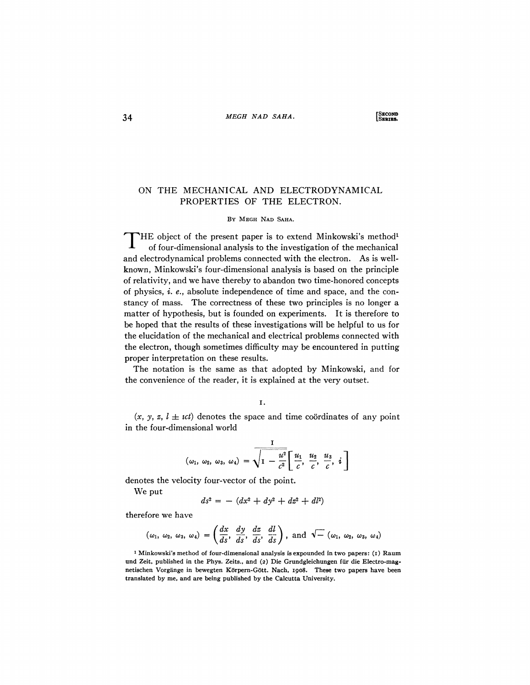## ON THE MECHANICAL AND ELECTRODYNAMICAL PROPERTIES OF THE ELECTRON.

#### BY MEGH NAD SAHA.

T HE object of the present paper is to extend Minkowski's method<sup>1</sup> of four-dimensional analysis to the investigation of the mechanical and electrodynamical problems connected with the electron. As is wellknown, Minkowski's four-dimensional analysis is based on the principle of relativity, and we have thereby to abandon two time-honored concepts of physics, *i. e.*, absolute independence of time and space, and the constancy of mass. The correctness of these two principles is no longer a matter of hypothesis, but is founded on experiments. It is therefore to be hoped that the results of these investigations will be helpful to us for the elucidation of the mechanical and electrical problems connected with the electron, though sometimes difficulty may be encountered in putting proper interpretation on these results.

The notation is the same as that adopted by Minkowski, and for the convenience of the reader, it is explained at the very outset.

i.

 $(x, y, z, l \pm \iota c t)$  denotes the space and time coordinates of any point in the four-dimensional world

$$
(\omega_1, \ \omega_2, \ \omega_3, \ \omega_4) = \sqrt{1 - \frac{u^2}{c^2}} \left[ \frac{u_1}{c}, \ \frac{u_2}{c}, \ \frac{u_3}{c}, \ i \right]
$$

denotes the velocity four-vector of the point.

We put

$$
ds^2 = - (dx^2 + dy^2 + dz^2 + dl^2)
$$

therefore we have

$$
(\omega_1, \omega_2, \omega_3, \omega_4) = \left(\frac{dx}{ds}, \frac{dy}{ds}, \frac{dz}{ds}, \frac{dl}{ds}\right), \text{ and } \sqrt{-} (\omega_1, \omega_2, \omega_3, \omega_4)
$$

<sup>1</sup> Minkowski's method of four-dimensional analysis is expounded in two papers: (1) Raum und Zeit, published in the Phys. Zeits., and (2) Die Grundgleichungen fiir die Electro-magnetischen Vorgänge in bewegten Körpern-Gött. Nach, 1908. These two papers have been translated by me, and are being published by the Calcutta University.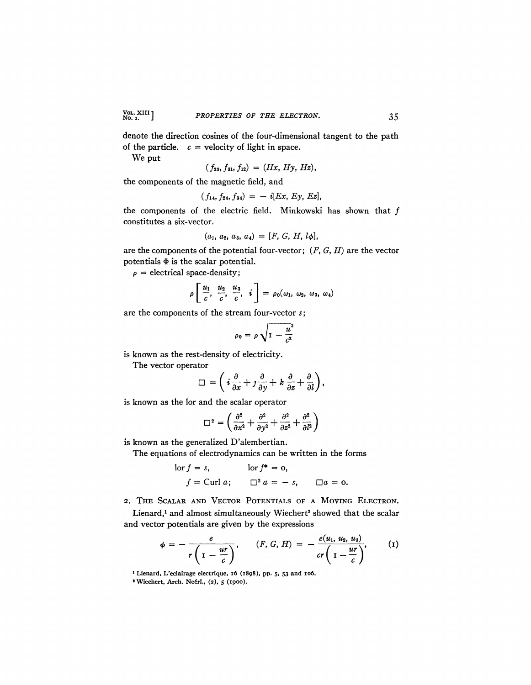denote the direction cosines of the four-dimensional tangent to the path of the particle.  $c =$  velocity of light in space.

We put

$$
(f_{23}, f_{31}, f_{12}) = (Hx, Hy, Hz),
$$

the components of the magnetic field, and

$$
(f_{14}, f_{24}, f_{34}) = -i[Ex, Ey, Ez],
$$

the components of the electric field. Minkowski has shown that  $f$ constitutes a six-vector.

$$
(a_1, a_2, a_3, a_4) = [F, G, H, l\phi],
$$

are the components of the potential four-vector; *(F, G, H)* are the vector potentials  $\Phi$  is the scalar potential.

 $\rho$  = electrical space-density;

$$
\rho\left[\frac{u_1}{c}, \frac{u_2}{c}, \frac{u_3}{c}, i\right] = \rho_0(\omega_1, \omega_2, \omega_3, \omega_4)
$$

are the components of the stream four-vector *s;* 

$$
\rho_0 = \rho \sqrt{1 - \frac{u^2}{c^2}}
$$

is known as the rest-density of electricity.

The vector operator

$$
\Box = \left(i\frac{\partial}{\partial x} + j\frac{\partial}{\partial y} + k\frac{\partial}{\partial z} + \frac{\partial}{\partial l}\right),
$$

is known as the lor and the scalar operator

$$
\Box^2 = \left(\frac{\partial^2}{\partial x^2} + \frac{\partial^2}{\partial y^2} + \frac{\partial^2}{\partial z^2} + \frac{\partial^2}{\partial l^2}\right)
$$

is known as the generalized D'alembertian.

The equations of electrodynamics can be written in the forms

$$
\begin{aligned}\n\text{for } f = s, & \text{for } f^* = 0, \\
f &= \text{Curl } a; & \Box^2 a = -s, & \Box a = 0.\n\end{aligned}
$$

2. THE SCALAR AND VECTOR POTENTIALS OF A MOVING ELECTRON. Lienard,<sup>1</sup> and almost simultaneously Wiechert<sup>2</sup> showed that the scalar and vector potentials are given by the expressions

$$
\phi = -\frac{e}{r\left(1-\frac{ur}{c}\right)}, \qquad (F, G, H) = -\frac{e(u_1, u_2, u_3)}{cr\left(1-\frac{ur}{c}\right)}, \qquad (1)
$$

**1 Lienard, L'eclairage eleetrique, 16 (1898), pp. 5, 53 and 106.** 

<sup>2</sup> Wiechert, Arch. Neérl., (2), 5 (1900).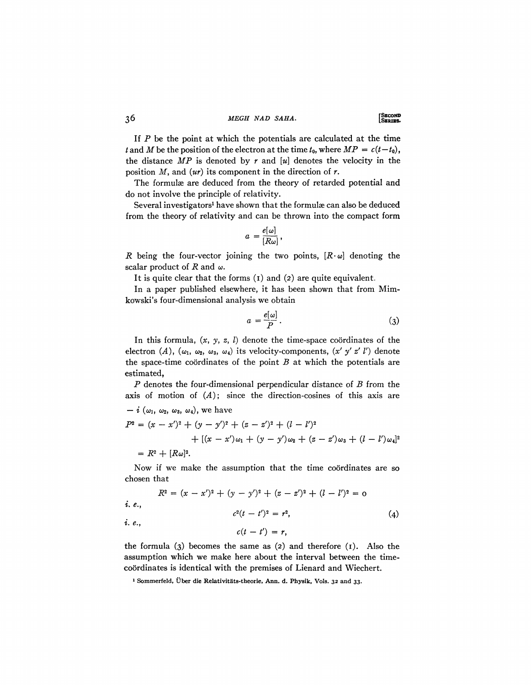36 **MEGH NAD SAHA. LSERIES.** 

If *P* be the point at which the potentials are calculated at the time *t* and *M* be the position of the electron at the time  $t_0$ , where  $MP = c(t-t_0)$ , the distance *MP* is denoted by *r* and *[u]* denotes the velocity in the position *M,* and *(ur)* its component in the direction of *r.* 

The formulæ are deduced from the theory of retarded potential and do not involve the principle of relativity.

Several investigators<sup>1</sup> have shown that the formulæ can also be deduced from the theory of relativity and can be thrown into the compact form

$$
a = \frac{e[\omega]}{[R\omega]},
$$

*R* being the four-vector joining the two points,  $[R \cdot \omega]$  denoting the scalar product of  $R$  and  $\omega$ .

It is quite clear that the forms  $(i)$  and  $(2)$  are quite equivalent.

In a paper published elsewhere, it has been shown that from Mimkowski's four-dimensional analysis we obtain

$$
a = \frac{e[\omega]}{P} \,. \tag{3}
$$

In this formula,  $(x, y, z, l)$  denote the time-space coordinates of the electron  $(A)$ ,  $(\omega_1, \omega_2, \omega_3, \omega_4)$  its velocity-components,  $(x', y', z', l')$  denote the space-time coordinates of the point  $B$  at which the potentials are estimated,

*P* denotes the four-dimensional perpendicular distance of *B* from the axis of motion of *(A);* since the direction-cosines of this axis are  $- i$  ( $\omega_1$ ,  $\omega_2$ ,  $\omega_3$ ,  $\omega_4$ ), we have

$$
P^{2} = (x - x')^{2} + (y - y')^{2} + (z - z')^{2} + (l - l')^{2}
$$
  
+ 
$$
[(x - x')\omega_{1} + (y - y')\omega_{2} + (z - z')\omega_{3} + (l - l')\omega_{4}]^{2}
$$
  
= 
$$
R^{2} + [R\omega]^{2}.
$$

Now if we make the assumption that the time coordinates are so chosen that

$$
R^{2} = (x - x')^{2} + (y - y')^{2} + (z - z')^{2} + (l - l')^{2} = 0
$$
  
*i. e.*,  

$$
c^{2}(t - t')^{2} = r^{2},
$$
 (4)

 $c(t - t') = r$ ,

*i. e.<sup>f</sup>*

the formula  $(3)$  becomes the same as  $(2)$  and therefore  $(1)$ . Also the assumption which we make here about the interval between the timecoordinates is identical with the premises of Lienard and Wiechert.

<sup>&</sup>lt;sup>1</sup> Sommerfeld, Über die Relativitäts-theorie, Ann. d. Physik, Vols. 32 and 33.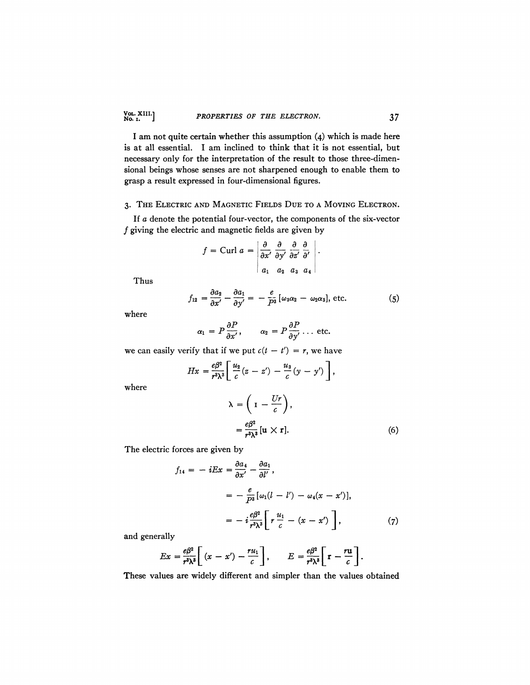I am not quite certain whether this assumption (4) which is made here is at all essential. I am inclined to think that it is not essential, but necessary only for the interpretation of the result to those three-dimensional beings whose senses are not sharpened enough to enable them to grasp a result expressed in four-dimensional figures.

### 3. THE ELECTRIC AND MAGNETIC FIELDS DUE TO A MOVING ELECTRON.

*If a* denote the potential four-vector, the components of the six-vector  $f$  giving the electric and magnetic fields are given by

$$
f = \text{Curl } a = \left| \frac{\partial}{\partial x'} \frac{\partial}{\partial y'} \frac{\partial}{\partial z'} \frac{\partial}{\partial'} \right|
$$
  

$$
a_1 \quad a_2 \quad a_3 \quad a_4
$$

Thus

$$
f_{12} = \frac{\partial a_2}{\partial x'} - \frac{\partial a_1}{\partial y'} = -\frac{e}{P^3} [\omega_3 \alpha_2 - \omega_2 \alpha_3], \text{ etc.}
$$
 (5)

where

$$
\alpha_1 = P \frac{\partial P}{\partial x'}, \qquad \alpha_2 = P \frac{\partial P}{\partial y'} \ldots \text{ etc.}
$$

we can easily verify that if we put  $c(t - t') = r$ , we have

$$
Hx=\frac{e\beta^2}{r^3\lambda^3}\left[\frac{u_2}{c}(z-z')-\frac{u_3}{c}(y-y')\right],
$$

where

$$
\lambda = \left(1 - \frac{Ur}{c}\right),
$$
  
=  $\frac{e\beta^2}{r^3 \lambda^3} [u \times r].$  (6)

The electric forces are given by

$$
f_{14} = -iEx = \frac{\partial a_4}{\partial x'} - \frac{\partial a_1}{\partial l'},
$$
  

$$
= -\frac{e}{P^3} [\omega_1(l - l') - \omega_4(x - x')],
$$
  

$$
= -i\frac{e\beta^2}{r^3\lambda^3} \bigg[ r\frac{u_1}{c} - (x - x') \bigg], \qquad (7)
$$

and generally

$$
Ex = \frac{e\beta^2}{r^3\lambda^3} \left[ (x - x') - \frac{ru_1}{c} \right], \qquad E = \frac{e\beta^2}{r^3\lambda^3} \left[ \mathbf{r} - \frac{ru}{c} \right].
$$

These values are widely different and simpler than the values obtained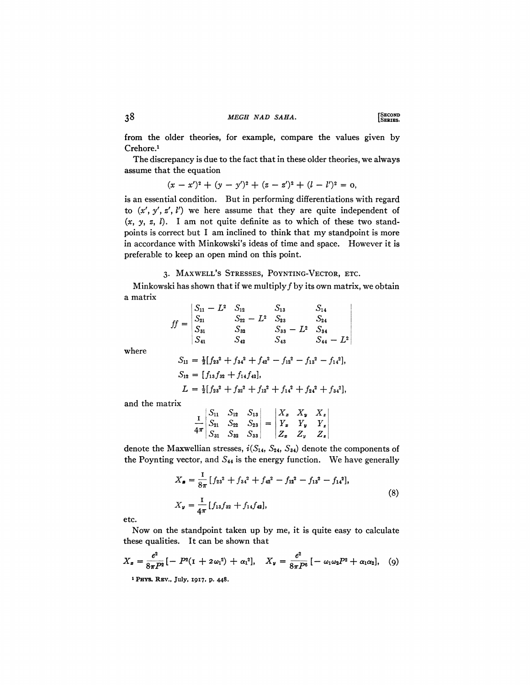from the older theories, for example, compare the values given by Crehore.<sup>1</sup>

The discrepancy is due to the fact that in these older theories, we always assume that the equation

$$
(x-x')^{2} + (y-y')^{2} + (z-z')^{2} + (l-l')^{2} = 0,
$$

is an essential condition. But in performing differentiations with regard to  $(x', y', z', l')$  we here assume that they are quite independent of *(x, y, z, I),* I am not quite definite as to which of these two standpoints is correct but I am inclined to think that my standpoint is more in accordance with Minkowski's ideas of time and space. However it is preferable to keep an open mind on this point.

## 3. MAXWELL'S STRESSES, POYNTING-VECTOR, ETC.

Minkowski has shown that if we multiply  $f$  by its own matrix, we obtain a matrix

$$
ff = \begin{vmatrix} S_{11} - L^2 & S_{12} & S_{13} & S_{14} \\ S_{21} & S_{22} - L^2 & S_{23} & S_{24} \\ S_{31} & S_{32} & S_{33} - L^2 & S_{34} \\ S_{41} & S_{42} & S_{43} & S_{44} - L^2 \end{vmatrix}
$$

where

$$
S_{11} = \frac{1}{2} [f_{23}^2 + f_{34}^2 + f_{42}^2 - f_{12}^2 - f_{13}^2 - f_{14}^2],
$$
  
\n
$$
S_{12} = [f_{13}f_{32} + f_{14}f_{42}],
$$
  
\n
$$
L = \frac{1}{2} [f_{23}^2 + f_{32}^2 + f_{12}^2 + f_{14}^2 + f_{24}^2 + f_{34}^2],
$$

and the matrix

$$
\frac{1}{4\pi} \begin{vmatrix} S_{11} & S_{12} & S_{13} \\ S_{21} & S_{22} & S_{23} \\ S_{31} & S_{32} & S_{33} \end{vmatrix} = \begin{vmatrix} X_x & X_y & X_z \\ Y_x & Y_y & Y_z \\ Z_x & Z_y & Z_z \end{vmatrix}
$$

 $\sim$  1

denote the Maxwellian stresses,  $i(S_{14}, S_{24}, S_{34})$  denote the components of the Poynting vector, and  $S_{44}$  is the energy function. We have generally

$$
X_{\bullet} = \frac{1}{8\pi} \left[ f_{23}^2 + f_{34}^2 + f_{42}^2 - f_{12}^2 - f_{13}^2 - f_{14}^2 \right],
$$
  
\n
$$
X_{\nu} = \frac{1}{4\pi} \left[ f_{13} f_{32} + f_{14} f_{42} \right],
$$
\n(8)

etc.

Now on the standpoint taken up by me, it is quite easy to calculate these qualities. It can be shown that

$$
X_{x} = \frac{e^{2}}{8\pi P^{2}} [-P^{2}(1 + 2\omega_{1}^{2}) + \alpha_{1}^{2}], \quad X_{y} = \frac{e^{2}}{8\pi P^{6}} [-\omega_{1}\omega_{2}P^{2} + \alpha_{1}\alpha_{2}], \quad (9)
$$

**<sup>\*</sup> PHYS. REV., July, 1917, p. 448.**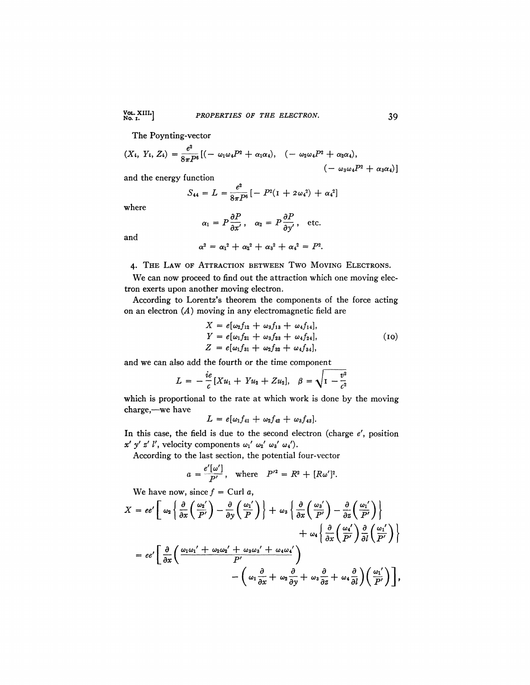# Vol. XIII.]<br>No. 1. *PROPERTIES OF THE ELECTRON*. 39

The Poynting-vector

$$
(X_{l}, Y_{l}, Z_{l}) = \frac{e^{2}}{8\pi P^{6}} [(-\omega_{1}\omega_{4}P^{2} + \alpha_{1}\alpha_{4}), (-\omega_{2}\omega_{4}P^{2} + \alpha_{2}\alpha_{4}), (-\omega_{3}\omega_{4}P^{2} + \alpha_{3}\alpha_{4})]
$$

and the energy function

$$
S_{44} = L = \frac{e^2}{8\pi P^6} \left[ -P^2(1 + 2\omega_4^2) + \alpha_4^2 \right]
$$

where

$$
\alpha_1 = P \frac{\partial P}{\partial x'}, \quad \alpha_2 = P \frac{\partial P}{\partial y'}, \quad \text{etc.}
$$

and

$$
\alpha^2 = \alpha_1^2 + \alpha_2^2 + \alpha_3^2 + \alpha_4^2 = P^2.
$$

### 4. THE LAW OF ATTRACTION BETWEEN TWO MOVING ELECTRONS.

We can now proceed to find out the attraction which one moving electron exerts upon another moving electron.

According to Lorentz's theorem the components of the force acting on an electron  $(A)$  moving in any electromagnetic field are

$$
X = e[\omega_2 f_{12} + \omega_3 f_{13} + \omega_4 f_{14}],
$$
  
\n
$$
Y = e[\omega_1 f_{21} + \omega_3 f_{23} + \omega_4 f_{24}],
$$
  
\n
$$
Z = e[\omega_1 f_{31} + \omega_2 f_{32} + \omega_4 f_{34}],
$$
\n(10)

and we can also add the fourth or the time component

$$
L = -\frac{ie}{c}[Xu_1 + Yu_2 + Zu_2], \quad \beta = \sqrt{1 - \frac{v^2}{c^2}}
$$

which is proportional to the rate at which work is done by the moving charge,—we have

$$
L = e[\omega_1 f_{41} + \omega_2 f_{42} + \omega_3 f_{43}].
$$

In this case, the field is due to the second electron (charge  $e'$ , position  $x'$  y' z' l', velocity components  $\omega_1'$   $\omega_2'$   $\omega_3'$   $\omega_4'$ ).

According to the last section, the potential four-vector

$$
a = \frac{e'[{\omega}']}{P'}
$$
, where  $P'^2 = R^2 + [R{\omega}']^2$ .

We have now, since  $f =$  Curl  $a$ ,

$$
X = ee'\left[\omega_{2}\left\{\frac{\partial}{\partial x}\left(\frac{\omega_{2}'}{P'}\right) - \frac{\partial}{\partial y}\left(\frac{\omega_{1}'}{P}\right)\right\} + \omega_{3}\left\{\frac{\partial}{\partial x}\left(\frac{\omega_{3}'}{P'}\right) - \frac{\partial}{\partial z}\left(\frac{\omega_{1}'}{P'}\right)\right\} \right. \\ \left. + \omega_{4}\left\{\frac{\partial}{\partial x}\left(\frac{\omega_{4}'}{P'}\right)\frac{\partial}{\partial l}\left(\frac{\omega_{1}'}{P'}\right) + \omega_{4}\left\{\frac{\partial}{\partial x}\left(\frac{\omega_{4}'}{P'}\right)\frac{\partial}{\partial l}\left(\frac{\omega_{1}'}{P'}\right)\right\} \right. \\ \left. - e e'\left[\frac{\partial}{\partial x}\left(\frac{\omega_{1}\omega_{1'} + \omega_{2}\omega_{2'} + \omega_{3}\omega_{3'} + \omega_{4}\omega_{4'}}{P'}\right) - \left(\omega_{1}\frac{\partial}{\partial x} + \omega_{2}\frac{\partial}{\partial y} + \omega_{3}\frac{\partial}{\partial z} + \omega_{4}\frac{\partial}{\partial l}\right)\left(\frac{\omega_{1}'}{P'}\right)\right],
$$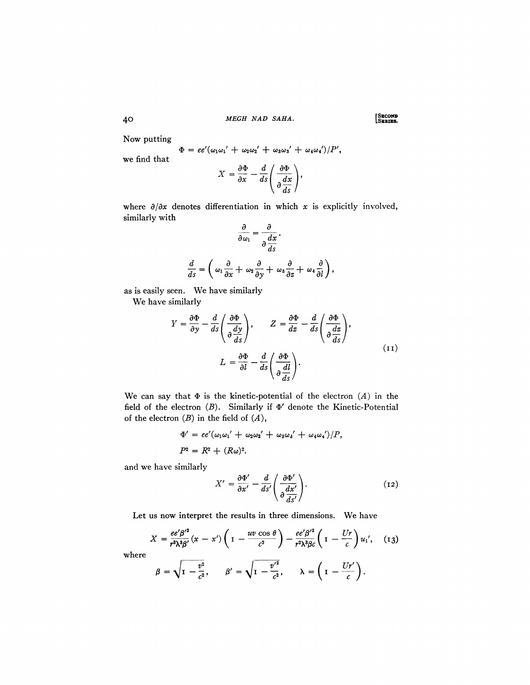40 MEGH NAD SAHA. SEECOND

Now putting

$$
\Phi = ee'(\omega_1\omega_1' + \omega_2\omega_2' + \omega_3\omega_3' + \omega_4\omega_4')/P',
$$

we find that

$$
X = \frac{\partial \Phi}{\partial x} - \frac{d}{ds} \left( \frac{\partial \Phi}{\partial \frac{dx}{ds}} \right),
$$

where  $\partial/\partial x$  denotes differentiation in which x is explicitly involved, similarly with

$$
\frac{\partial}{\partial \omega_1} = \frac{\partial}{\partial \frac{dx}{ds}}.
$$

$$
\frac{d}{ds} = \left(\omega_1 \frac{\partial}{\partial x} + \omega_2 \frac{\partial}{\partial y} + \omega_3 \frac{\partial}{\partial z} + \omega_4 \frac{\partial}{\partial l}\right),
$$

as is easily seen. We have similarly We have similarly

$$
Y = \frac{\partial \Phi}{\partial y} - \frac{d}{ds} \left( \frac{\partial \Phi}{\partial \frac{dy}{ds}} \right), \qquad Z = \frac{\partial \Phi}{dz} - \frac{d}{ds} \left( \frac{\partial \Phi}{\partial \frac{dz}{ds}} \right),
$$

$$
L = \frac{\partial \Phi}{\partial l} - \frac{d}{ds} \left( \frac{\partial \Phi}{\partial \frac{dl}{ds}} \right).
$$
(11)

We can say that  $\Phi$  is the kinetic-potential of the electron  $(A)$  in the field of the electron  $(B)$ . Similarly if  $\Phi'$  denote the Kinetic-Potential of the electron *(B)* in the field of *(A),* 

$$
\Phi' = ee'(\omega_1\omega_1' + \omega_2\omega_2' + \omega_3\omega_3' + \omega_4\omega_4')/P,
$$
  

$$
P^2 = R^2 + (R\omega)^2.
$$

and we have similarly

$$
X' = \frac{\partial \Phi'}{\partial x'} - \frac{d}{ds'} \left( \frac{\partial \Phi'}{\partial \frac{dx'}{\partial s'}} \right).
$$
 (12)

Let us now interpret the results in three dimensions. We have

$$
X = \frac{ee'\beta'^2}{r^3\lambda^3\beta'}(x - x')\left(1 - \frac{uv\cos\theta}{c^2}\right) - \frac{ee'\beta'^2}{r^2\lambda^3\beta c}\left(1 - \frac{Ur}{c}\right)u_1', \quad (13)
$$

where

$$
\beta = \sqrt{1 - \frac{v^2}{c^2}}, \qquad \beta' = \sqrt{1 - \frac{v'^2}{c^2}}, \qquad \lambda = \left(1 - \frac{Ur'}{c}\right).
$$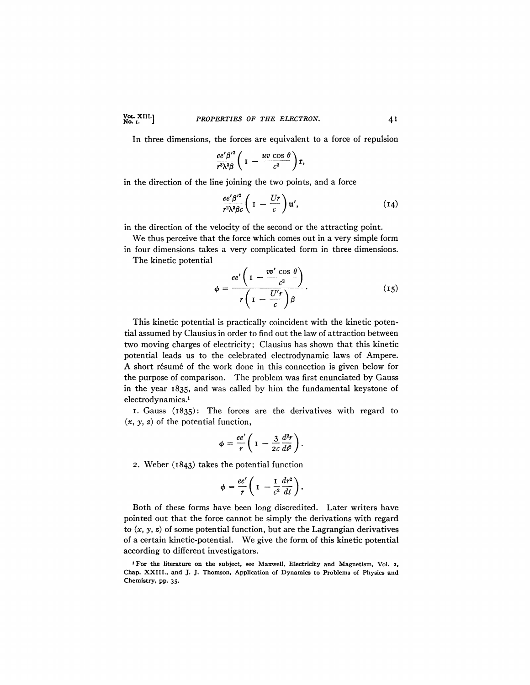In three dimensions, the forces are equivalent to a force of repulsion

$$
\frac{ee'\beta'^2}{r^3\lambda^3\beta}\bigg(1-\frac{uv\cos\theta}{c^2}\bigg)r,
$$

in the direction of the line joining the two points, and a force

$$
\frac{ee'\beta'^2}{r^2\lambda^3\beta c}\bigg(1-\frac{Ur}{c}\bigg)u',\qquad(14)
$$

in the direction of the velocity of the second or the attracting point.

We thus perceive that the force which comes out in a very simple form in four dimensions takes a very complicated form in three dimensions. The kinetic potential

$$
\phi = \frac{ee'\left(1 - \frac{vv'\cos\theta}{c^2}\right)}{r\left(1 - \frac{U'r}{c}\right)\beta}.
$$
\n(15)

This kinetic potential is practically coincident with the kinetic potential assumed by Clausius in order to find out the law of attraction between two moving charges of electricity; Clausius has shown that this kinetic potential leads us to the celebrated electrodynamic laws of Ampere. A short résumé of the work done in this connection is given below for the purpose of comparison. The problem was first enunciated by Gauss in the year 1835, and was called by him the fundamental keystone of electrodynamics.<sup>1</sup>

1. Gauss (1835): The forces are the derivatives with regard to *(x, y} z)* of the potential function,

$$
\phi = \frac{ee'}{r} \left(1 - \frac{3}{2c} \frac{d^2r}{dt^2}\right).
$$

*2.* Weber (1843) takes the potential function

$$
\phi = \frac{ee'}{r} \left(1 - \frac{1}{c^2} \frac{dr^2}{dt}\right).
$$

Both of these forms have been long discredited. Later writers have pointed out that the force cannot be simply the derivations with regard to  $(x, y, z)$  of some potential function, but are the Lagrangian derivatives of a certain kinetic-potential. We give the form of this kinetic potential according to different investigators.

<sup>1</sup> For the literature on the subject, see Maxwell, Electricity and Magnetism, Vol. *2,*  Chap. XXIII., and J. J. Thomson, Application of Dynamics to Problems of Physics and Chemistry, pp. 35.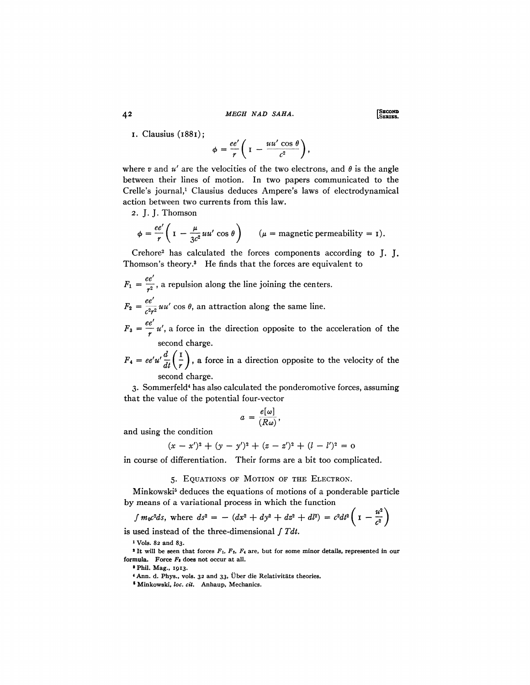42 *MEGH NAD SAHA*. SEEDS SEEDS

I. Clausius (1881);

$$
\phi = \frac{ee'}{r} \left(1 - \frac{uu'\cos\theta}{c^2}\right),
$$

where  $v$  and  $u'$  are the velocities of the two electrons, and  $\theta$  is the angle between their lines of motion. In two papers communicated to the Crelle's journal,<sup>1</sup> Clausius deduces Ampere's laws of electrodynamical action between two currents from this law.

2. J. J. Thomson

$$
\phi = \frac{ee'}{r} \left( 1 - \frac{\mu}{3c^2} uu' \cos \theta \right) \qquad (\mu = \text{magnetic permeability} = 1).
$$

Crehore<sup>2</sup> has calculated the forces components according to J. J. Thomson's theory.<sup>3</sup> He finds that the forces are equivalent to

$$
F_1 = \frac{ee'}{r^2}
$$
, a repulsion along the line joining the centers.

 $F_2 = \frac{ee'}{e^{2\pi i}} u u' \cos \theta$ , an attraction along the same line.

 $F_3 = \frac{ee'}{r} u'$ , a force in the direction opposite to the acceleration of the

 $\frac{1}{2}$  /  $\sqrt{2}$  $F* = ee'u/dt$ ,  $\frac{d}{dt}$  ,  $\frac{d}{dt}$  ,  $\frac{d}{dt}$  and  $\frac{d}{dt}$  and  $\frac{d}{dt}$  direction opposite to the velocity of the second charge.

3. Sommerfeld<sup>4</sup> has also calculated the ponderomotive forces, assuming that the value of the potential four-vector

$$
a = \frac{e[\omega]}{(R\omega)},
$$

and using the condition

$$
(x-x')^{2} + (y-y')^{2} + (z-z')^{2} + (l-l')^{2} = 0
$$

in course of differentiation. Their forms are a bit too complicated.

### 5. EQUATIONS OF MOTION OF THE ELECTRON.

Minkowski<sup>5</sup> deduces the equations of motions of a ponderable particle by means of a variational process in which the function

$$
\int m_0 c^2 ds
$$
, where  $ds^2 = - (dx^2 + dy^2 + dz^2 + dl^2) = c^2 dl^2 \left(1 - \frac{u^2}{c^2}\right)$ 

is used instead of the three-dimensional  $\int T dt$ .

1 Vols. 82 and 83.

\* It will be seen that forces *Fi, F2, FA* are, but for some minor details, represented in our formula. Force *F»* does not occur at all.

\* Phil. Mag., 1913.

*\** Ann. d. Phys., vols. 32 and 33, Uber die Relativitats theories.

1 Minkowski, *loc. cit.* Anhaup, Mechanics.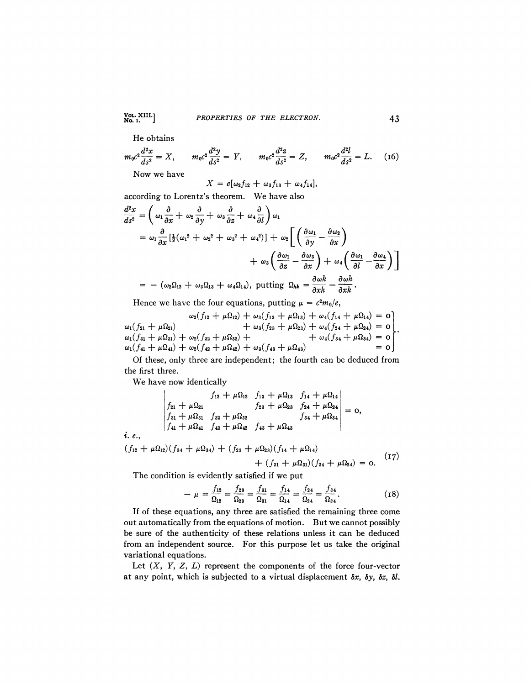## Vol. XIII.] *PROPERTIES OF THE ELECTRON.* 43

He obtains

$$
m_0 c^2 \frac{d^2 x}{ds^2} = X, \qquad m_0 c^2 \frac{d^2 y}{ds^2} = Y, \qquad m_0 c^2 \frac{d^2 z}{ds^2} = Z, \qquad m_0 c^2 \frac{d^2 l}{ds^2} = L. \tag{16}
$$

Now we have

 $X = e[\omega_2 f_{12} + \omega_3 f_{13} + \omega_4 f_{14}],$ 

according to Lorentz's theorem. We have also

$$
\frac{d^2x}{ds^2} = \left(\omega_1 \frac{\partial}{\partial x} + \omega_2 \frac{\partial}{\partial y} + \omega_3 \frac{\partial}{\partial z} + \omega_4 \frac{\partial}{\partial l}\right) \omega_1
$$
  
\n
$$
= \omega_1 \frac{\partial}{\partial x} \left[\frac{1}{2}(\omega_1^2 + \omega_2^2 + \omega_3^2 + \omega_4^2)\right] + \omega_2 \left[\left(\frac{\partial \omega_1}{\partial y} - \frac{\partial \omega_2}{\partial x}\right) + \omega_3 \left(\frac{\partial \omega_1}{\partial z} - \frac{\partial \omega_3}{\partial x}\right) + \omega_4 \left(\frac{\partial \omega_1}{\partial l} - \frac{\partial \omega_4}{\partial x}\right)\right]
$$
  
\n
$$
= -(\omega_2 \Omega_{12} + \omega_3 \Omega_{13} + \omega_4 \Omega_{14}), \text{ putting } \Omega_{hk} = \frac{\partial \omega k}{\partial xh} - \frac{\partial \omega h}{\partial xk}.
$$

Hence we have the four equations, putting  $\mu = c^2 m_0/e$ ,

$$
\omega_2(f_{12} + \mu \Omega_{12}) + \omega_3(f_{13} + \mu \Omega_{13}) + \omega_4(f_{14} + \mu \Omega_{14}) = 0+ \omega_3(f_{23} + \mu \Omega_{23}) + \omega_4(f_{24} + \mu \Omega_{24}) = 0\omega_1(f_{31} + \mu \Omega_{31}) + \omega_2(f_{32} + \mu \Omega_{32}) + \omega_4(f_{33} + \mu \Omega_{34}) = 0\omega_1(f_{41} + \mu \Omega_{41}) + \omega_2(f_{42} + \mu \Omega_{42}) + \omega_3(f_{43} + \mu \Omega_{43}) = 0= 0
$$

Of these, only three are independent; the fourth can be deduced from the first three.

We have now identically

$$
\begin{vmatrix}\nf_{12} + \mu \Omega_{12} & f_{13} + \mu \Omega_{13} & f_{14} + \mu \Omega_{14} \\
f_{21} + \mu \Omega_{21} & f_{23} + \mu \Omega_{23} & f_{24} + \mu \Omega_{24} \\
f_{31} + \mu \Omega_{31} & f_{32} + \mu \Omega_{32} & f_{34} + \mu \Omega_{34} \\
f_{41} + \mu \Omega_{41} & f_{42} + \mu \Omega_{42} & f_{43} + \mu \Omega_{43}\n\end{vmatrix} = 0,
$$
\n*i. e.*,

$$
(f_{12} + \mu \Omega_{12})(f_{34} + \mu \Omega_{34}) + (f_{23} + \mu \Omega_{23})(f_{14} + \mu \Omega_{14}) + (f_{31} + \mu \Omega_{31})(f_{24} + \mu \Omega_{24}) = 0.
$$
 (17)

The condition is evidently satisfied if we put

$$
-\mu = \frac{f_{12}}{\Omega_{12}} = \frac{f_{23}}{\Omega_{23}} = \frac{f_{31}}{\Omega_{31}} = \frac{f_{14}}{\Omega_{14}} = \frac{f_{24}}{\Omega_{24}} = \frac{f_{34}}{\Omega_{34}}.
$$
 (18)

If of these equations, any three are satisfied the remaining three come out automatically from the equations of motion. But we cannot possibly be sure of the authenticity of these relations unless it can be deduced from an independent source. For this purpose let us take the original variational equations.

Let  $(X, Y, Z, L)$  represent the components of the force four-vector at any point, which is subjected to a virtual displacement *8x, by, dz, 81.*